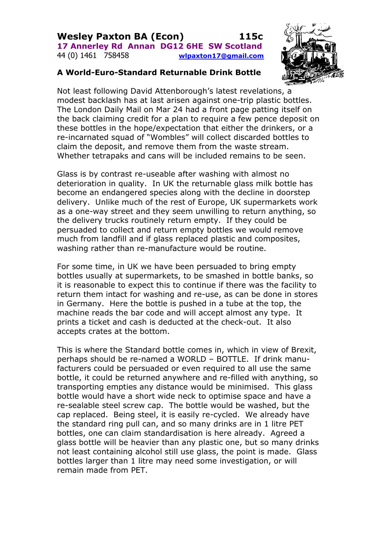## **Wesley Paxton BA (Econ) 115c 17 Annerley Rd Annan DG12 6HE SW Scotland**  44 (0) 1461 758458 **wlpaxton17@gmail.com**



## **A World-Euro-Standard Returnable Drink Bottle**

Not least following David Attenborough's latest revelations, a modest backlash has at last arisen against one-trip plastic bottles. The London Daily Mail on Mar 24 had a front page patting itself on the back claiming credit for a plan to require a few pence deposit on these bottles in the hope/expectation that either the drinkers, or a re-incarnated squad of "Wombles" will collect discarded bottles to claim the deposit, and remove them from the waste stream. Whether tetrapaks and cans will be included remains to be seen.

Glass is by contrast re-useable after washing with almost no deterioration in quality. In UK the returnable glass milk bottle has become an endangered species along with the decline in doorstep delivery. Unlike much of the rest of Europe, UK supermarkets work as a one-way street and they seem unwilling to return anything, so the delivery trucks routinely return empty. If they could be persuaded to collect and return empty bottles we would remove much from landfill and if glass replaced plastic and composites, washing rather than re-manufacture would be routine.

For some time, in UK we have been persuaded to bring empty bottles usually at supermarkets, to be smashed in bottle banks, so it is reasonable to expect this to continue if there was the facility to return them intact for washing and re-use, as can be done in stores in Germany. Here the bottle is pushed in a tube at the top, the machine reads the bar code and will accept almost any type. It prints a ticket and cash is deducted at the check-out. It also accepts crates at the bottom.

This is where the Standard bottle comes in, which in view of Brexit, perhaps should be re-named a WORLD – BOTTLE. If drink manufacturers could be persuaded or even required to all use the same bottle, it could be returned anywhere and re-filled with anything, so transporting empties any distance would be minimised. This glass bottle would have a short wide neck to optimise space and have a re-sealable steel screw cap. The bottle would be washed, but the cap replaced. Being steel, it is easily re-cycled. We already have the standard ring pull can, and so many drinks are in 1 litre PET bottles, one can claim standardisation is here already. Agreed a glass bottle will be heavier than any plastic one, but so many drinks not least containing alcohol still use glass, the point is made. Glass bottles larger than 1 litre may need some investigation, or will remain made from PET.